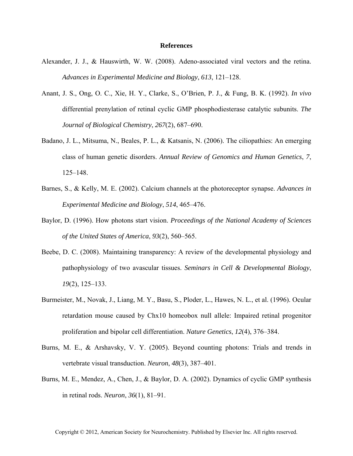## **References**

- Alexander, J. J., & Hauswirth, W. W. (2008). Adeno-associated viral vectors and the retina. *Advances in Experimental Medicine and Biology*, *613*, 121–128.
- Anant, J. S., Ong, O. C., Xie, H. Y., Clarke, S., O'Brien, P. J., & Fung, B. K. (1992). *In vivo* differential prenylation of retinal cyclic GMP phosphodiesterase catalytic subunits. *The Journal of Biological Chemistry*, *267*(2), 687–690.
- Badano, J. L., Mitsuma, N., Beales, P. L., & Katsanis, N. (2006). The ciliopathies: An emerging class of human genetic disorders. *Annual Review of Genomics and Human Genetics*, *7*, 125–148.
- Barnes, S., & Kelly, M. E. (2002). Calcium channels at the photoreceptor synapse. *Advances in Experimental Medicine and Biology*, *514*, 465–476.
- Baylor, D. (1996). How photons start vision. *Proceedings of the National Academy of Sciences of the United States of America*, *93*(2), 560–565.
- Beebe, D. C. (2008). Maintaining transparency: A review of the developmental physiology and pathophysiology of two avascular tissues. *Seminars in Cell & Developmental Biology*, *19*(2), 125–133.
- Burmeister, M., Novak, J., Liang, M. Y., Basu, S., Ploder, L., Hawes, N. L., et al. (1996). Ocular retardation mouse caused by Chx10 homeobox null allele: Impaired retinal progenitor proliferation and bipolar cell differentiation. *Nature Genetics*, *12*(4), 376–384.
- Burns, M. E., & Arshavsky, V. Y. (2005). Beyond counting photons: Trials and trends in vertebrate visual transduction. *Neuron*, *48*(3), 387–401.
- Burns, M. E., Mendez, A., Chen, J., & Baylor, D. A. (2002). Dynamics of cyclic GMP synthesis in retinal rods. *Neuron*, *36*(1), 81–91.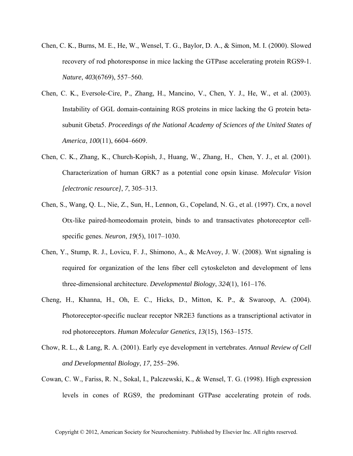- Chen, C. K., Burns, M. E., He, W., Wensel, T. G., Baylor, D. A., & Simon, M. I. (2000). Slowed recovery of rod photoresponse in mice lacking the GTPase accelerating protein RGS9-1. *Nature*, *403*(6769), 557–560.
- Chen, C. K., Eversole-Cire, P., Zhang, H., Mancino, V., Chen, Y. J., He, W., et al. (2003). Instability of GGL domain-containing RGS proteins in mice lacking the G protein betasubunit Gbeta5. *Proceedings of the National Academy of Sciences of the United States of America*, *100*(11), 6604–6609.
- Chen, C. K., Zhang, K., Church-Kopish, J., Huang, W., Zhang, H., Chen, Y. J., et al. (2001). Characterization of human GRK7 as a potential cone opsin kinase. *Molecular Vision [electronic resource]*, *7*, 305–313.
- Chen, S., Wang, Q. L., Nie, Z., Sun, H., Lennon, G., Copeland, N. G., et al. (1997). Crx, a novel Otx-like paired-homeodomain protein, binds to and transactivates photoreceptor cellspecific genes. *Neuron*, *19*(5), 1017–1030.
- Chen, Y., Stump, R. J., Lovicu, F. J., Shimono, A., & McAvoy, J. W. (2008). Wnt signaling is required for organization of the lens fiber cell cytoskeleton and development of lens three-dimensional architecture. *Developmental Biology*, *324*(1), 161–176.
- Cheng, H., Khanna, H., Oh, E. C., Hicks, D., Mitton, K. P., & Swaroop, A. (2004). Photoreceptor-specific nuclear receptor NR2E3 functions as a transcriptional activator in rod photoreceptors. *Human Molecular Genetics*, *13*(15), 1563–1575.
- Chow, R. L., & Lang, R. A. (2001). Early eye development in vertebrates. *Annual Review of Cell and Developmental Biology*, *17*, 255–296.
- Cowan, C. W., Fariss, R. N., Sokal, I., Palczewski, K., & Wensel, T. G. (1998). High expression levels in cones of RGS9, the predominant GTPase accelerating protein of rods.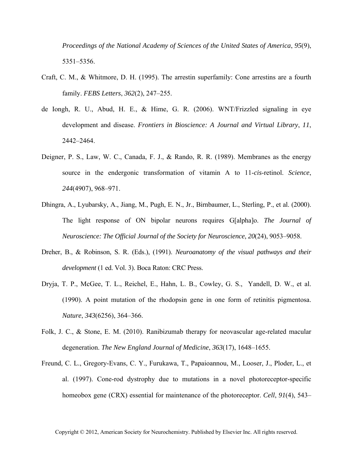*Proceedings of the National Academy of Sciences of the United States of America*, *95*(9), 5351–5356.

- Craft, C. M., & Whitmore, D. H. (1995). The arrestin superfamily: Cone arrestins are a fourth family. *FEBS Letters*, *362*(2), 247–255.
- de Iongh, R. U., Abud, H. E., & Hime, G. R. (2006). WNT/Frizzled signaling in eye development and disease. *Frontiers in Bioscience: A Journal and Virtual Library*, *11*, 2442–2464.
- Deigner, P. S., Law, W. C., Canada, F. J., & Rando, R. R. (1989). Membranes as the energy source in the endergonic transformation of vitamin A to 11-*cis*-retinol. *Science*, *244*(4907), 968–971.
- Dhingra, A., Lyubarsky, A., Jiang, M., Pugh, E. N., Jr., Birnbaumer, L., Sterling, P., et al. (2000). The light response of ON bipolar neurons requires G[alpha]o. *The Journal of Neuroscience: The Official Journal of the Society for Neuroscience*, *20*(24), 9053–9058.
- Dreher, B., & Robinson, S. R. (Eds.), (1991). *Neuroanatomy of the visual pathways and their development* (1 ed. Vol. 3). Boca Raton: CRC Press.
- Dryja, T. P., McGee, T. L., Reichel, E., Hahn, L. B., Cowley, G. S., Yandell, D. W., et al. (1990). A point mutation of the rhodopsin gene in one form of retinitis pigmentosa. *Nature*, *343*(6256), 364–366.
- Folk, J. C., & Stone, E. M. (2010). Ranibizumab therapy for neovascular age-related macular degeneration. *The New England Journal of Medicine*, *363*(17), 1648–1655.
- Freund, C. L., Gregory-Evans, C. Y., Furukawa, T., Papaioannou, M., Looser, J., Ploder, L., et al. (1997). Cone-rod dystrophy due to mutations in a novel photoreceptor-specific homeobox gene (CRX) essential for maintenance of the photoreceptor. *Cell*, *91*(4), 543–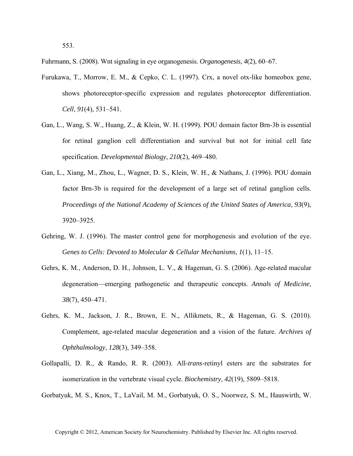553.

Fuhrmann, S. (2008). Wnt signaling in eye organogenesis. *Organogenesis*, *4*(2), 60–67.

- Furukawa, T., Morrow, E. M., & Cepko, C. L. (1997). Crx, a novel otx-like homeobox gene, shows photoreceptor-specific expression and regulates photoreceptor differentiation. *Cell*, *91*(4), 531–541.
- Gan, L., Wang, S. W., Huang, Z., & Klein, W. H. (1999). POU domain factor Brn-3b is essential for retinal ganglion cell differentiation and survival but not for initial cell fate specification. *Developmental Biology*, *210*(2), 469–480.
- Gan, L., Xiang, M., Zhou, L., Wagner, D. S., Klein, W. H., & Nathans, J. (1996). POU domain factor Brn-3b is required for the development of a large set of retinal ganglion cells. *Proceedings of the National Academy of Sciences of the United States of America*, *93*(9), 3920–3925.
- Gehring, W. J. (1996). The master control gene for morphogenesis and evolution of the eye. *Genes to Cells: Devoted to Molecular & Cellular Mechanisms*, *1*(1), 11–15.
- Gehrs, K. M., Anderson, D. H., Johnson, L. V., & Hageman, G. S. (2006). Age-related macular degeneration—emerging pathogenetic and therapeutic concepts. *Annals of Medicine*, *38*(7), 450–471.
- Gehrs, K. M., Jackson, J. R., Brown, E. N., Allikmets, R., & Hageman, G. S. (2010). Complement, age-related macular degeneration and a vision of the future. *Archives of Ophthalmology*, *128*(3), 349–358.
- Gollapalli, D. R., & Rando, R. R. (2003). All-*trans*-retinyl esters are the substrates for isomerization in the vertebrate visual cycle. *Biochemistry*, *42*(19), 5809–5818.

Gorbatyuk, M. S., Knox, T., LaVail, M. M., Gorbatyuk, O. S., Noorwez, S. M., Hauswirth, W.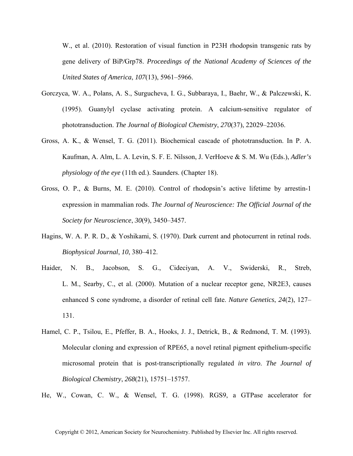W., et al. (2010). Restoration of visual function in P23H rhodopsin transgenic rats by gene delivery of BiP*/*Grp78. *Proceedings of the National Academy of Sciences of the United States of America*, *107*(13), 5961–5966.

- Gorczyca, W. A., Polans, A. S., Surgucheva, I. G., Subbaraya, I., Baehr, W., & Palczewski, K. (1995). Guanylyl cyclase activating protein. A calcium-sensitive regulator of phototransduction. *The Journal of Biological Chemistry*, *270*(37), 22029–22036.
- Gross, A. K., & Wensel, T. G. (2011). Biochemical cascade of phototransduction. In P. A. Kaufman, A. Alm, L. A. Levin, S. F. E. Nilsson, J. VerHoeve & S. M. Wu (Eds.), *Adler's physiology of the eye* (11th ed.). Saunders. (Chapter 18).
- Gross, O. P., & Burns, M. E. (2010). Control of rhodopsin's active lifetime by arrestin-1 expression in mammalian rods. *The Journal of Neuroscience: The Official Journal of the Society for Neuroscience*, *30*(9), 3450–3457.
- Hagins, W. A. P. R. D., & Yoshikami, S. (1970). Dark current and photocurrent in retinal rods. *Biophysical Journal*, *10*, 380–412.
- Haider, N. B., Jacobson, S. G., Cideciyan, A. V., Swiderski, R., Streb, L. M., Searby, C., et al. (2000). Mutation of a nuclear receptor gene, NR2E3, causes enhanced S cone syndrome, a disorder of retinal cell fate. *Nature Genetics*, *24*(2), 127– 131.
- Hamel, C. P., Tsilou, E., Pfeffer, B. A., Hooks, J. J., Detrick, B., & Redmond, T. M. (1993). Molecular cloning and expression of RPE65, a novel retinal pigment epithelium-specific microsomal protein that is post-transcriptionally regulated *in vitro*. *The Journal of Biological Chemistry*, *268*(21), 15751–15757.
- He, W., Cowan, C. W., & Wensel, T. G. (1998). RGS9, a GTPase accelerator for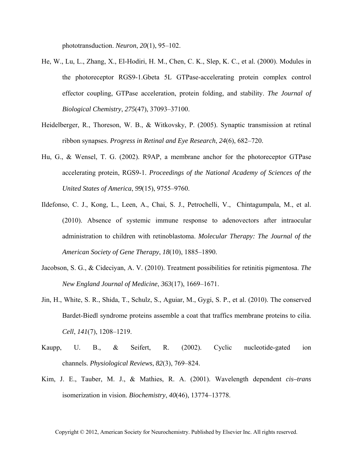phototransduction. *Neuron*, *20*(1), 95–102.

- He, W., Lu, L., Zhang, X., El-Hodiri, H. M., Chen, C. K., Slep, K. C., et al. (2000). Modules in the photoreceptor RGS9-1.Gbeta 5L GTPase-accelerating protein complex control effector coupling, GTPase acceleration, protein folding, and stability. *The Journal of Biological Chemistry*, *275*(47), 37093–37100.
- Heidelberger, R., Thoreson, W. B., & Witkovsky, P. (2005). Synaptic transmission at retinal ribbon synapses. *Progress in Retinal and Eye Research*, *24*(6), 682–720.
- Hu, G., & Wensel, T. G. (2002). R9AP, a membrane anchor for the photoreceptor GTPase accelerating protein, RGS9-1. *Proceedings of the National Academy of Sciences of the United States of America*, *99*(15), 9755–9760.
- Ildefonso, C. J., Kong, L., Leen, A., Chai, S. J., Petrochelli, V., Chintagumpala, M., et al. (2010). Absence of systemic immune response to adenovectors after intraocular administration to children with retinoblastoma. *Molecular Therapy: The Journal of the American Society of Gene Therapy*, *18*(10), 1885–1890.
- Jacobson, S. G., & Cideciyan, A. V. (2010). Treatment possibilities for retinitis pigmentosa. *The New England Journal of Medicine*, *363*(17), 1669–1671.
- Jin, H., White, S. R., Shida, T., Schulz, S., Aguiar, M., Gygi, S. P., et al. (2010). The conserved Bardet-Biedl syndrome proteins assemble a coat that traffics membrane proteins to cilia. *Cell*, *141*(7), 1208–1219.
- Kaupp, U. B., & Seifert, R. (2002). Cyclic nucleotide-gated ion channels. *Physiological Reviews*, *82*(3), 769–824.
- Kim, J. E., Tauber, M. J., & Mathies, R. A. (2001). Wavelength dependent *cis–trans* isomerization in vision. *Biochemistry*, *40*(46), 13774–13778.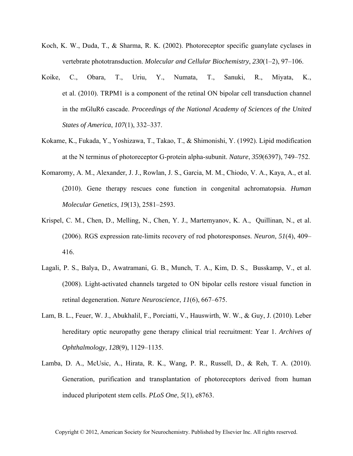- Koch, K. W., Duda, T., & Sharma, R. K. (2002). Photoreceptor specific guanylate cyclases in vertebrate phototransduction. *Molecular and Cellular Biochemistry*, *230*(1–2), 97–106.
- Koike, C., Obara, T., Uriu, Y., Numata, T., Sanuki, R., Miyata, K., et al. (2010). TRPM1 is a component of the retinal ON bipolar cell transduction channel in the mGluR6 cascade. *Proceedings of the National Academy of Sciences of the United States of America*, *107*(1), 332–337.
- Kokame, K., Fukada, Y., Yoshizawa, T., Takao, T., & Shimonishi, Y. (1992). Lipid modification at the N terminus of photoreceptor G-protein alpha-subunit. *Nature*, *359*(6397), 749–752.
- Komaromy, A. M., Alexander, J. J., Rowlan, J. S., Garcia, M. M., Chiodo, V. A., Kaya, A., et al. (2010). Gene therapy rescues cone function in congenital achromatopsia. *Human Molecular Genetics*, *19*(13), 2581–2593.
- Krispel, C. M., Chen, D., Melling, N., Chen, Y. J., Martemyanov, K. A., Quillinan, N., et al. (2006). RGS expression rate-limits recovery of rod photoresponses. *Neuron*, *51*(4), 409– 416.
- Lagali, P. S., Balya, D., Awatramani, G. B., Munch, T. A., Kim, D. S., Busskamp, V., et al. (2008). Light-activated channels targeted to ON bipolar cells restore visual function in retinal degeneration. *Nature Neuroscience*, *11*(6), 667–675.
- Lam, B. L., Feuer, W. J., Abukhalil, F., Porciatti, V., Hauswirth, W. W., & Guy, J. (2010). Leber hereditary optic neuropathy gene therapy clinical trial recruitment: Year 1. *Archives of Ophthalmology*, *128*(9), 1129–1135.
- Lamba, D. A., McUsic, A., Hirata, R. K., Wang, P. R., Russell, D., & Reh, T. A. (2010). Generation, purification and transplantation of photoreceptors derived from human induced pluripotent stem cells. *PLoS One*, *5*(1), e8763.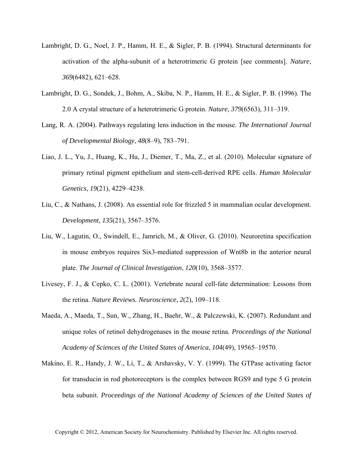- Lambright, D. G., Noel, J. P., Hamm, H. E., & Sigler, P. B. (1994). Structural determinants for activation of the alpha-subunit of a heterotrimeric G protein [see comments]. *Nature*, *369*(6482), 621–628.
- Lambright, D. G., Sondek, J., Bohm, A., Skiba, N. P., Hamm, H. E., & Sigler, P. B. (1996). The 2.0 A crystal structure of a heterotrimeric G protein. *Nature*, *379*(6563), 311–319.
- Lang, R. A. (2004). Pathways regulating lens induction in the mouse. *The International Journal of Developmental Biology*, *48*(8–9), 783–791.
- Liao, J. L., Yu, J., Huang, K., Hu, J., Diemer, T., Ma, Z., et al. (2010). Molecular signature of primary retinal pigment epithelium and stem-cell-derived RPE cells. *Human Molecular Genetics*, *19*(21), 4229–4238.
- Liu, C., & Nathans, J. (2008). An essential role for frizzled 5 in mammalian ocular development. *Development*, *135*(21), 3567–3576.
- Liu, W., Lagutin, O., Swindell, E., Jamrich, M., & Oliver, G. (2010). Neuroretina specification in mouse embryos requires Six3-mediated suppression of Wnt8b in the anterior neural plate. *The Journal of Clinical Investigation*, *120*(10), 3568–3577.
- Livesey, F. J., & Cepko, C. L. (2001). Vertebrate neural cell-fate determination: Lessons from the retina. *Nature Reviews. Neuroscience*, *2*(2), 109–118.
- Maeda, A., Maeda, T., Sun, W., Zhang, H., Baehr, W., & Palczewski, K. (2007). Redundant and unique roles of retinol dehydrogenases in the mouse retina. *Proceedings of the National Academy of Sciences of the United States of America*, *104*(49), 19565–19570.
- Makino, E. R., Handy, J. W., Li, T., & Arshavsky, V. Y. (1999). The GTPase activating factor for transducin in rod photoreceptors is the complex between RGS9 and type 5 G protein beta subunit. *Proceedings of the National Academy of Sciences of the United States of*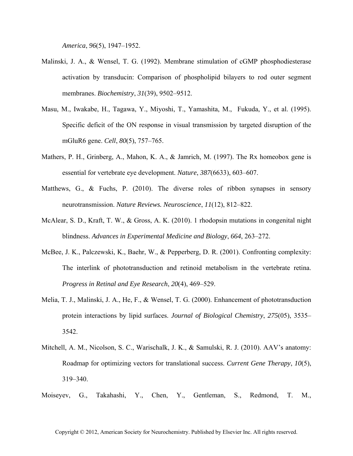*America*, *96*(5), 1947–1952.

- Malinski, J. A., & Wensel, T. G. (1992). Membrane stimulation of cGMP phosphodiesterase activation by transducin: Comparison of phospholipid bilayers to rod outer segment membranes. *Biochemistry*, *31*(39), 9502–9512.
- Masu, M., Iwakabe, H., Tagawa, Y., Miyoshi, T., Yamashita, M., Fukuda, Y., et al. (1995). Specific deficit of the ON response in visual transmission by targeted disruption of the mGluR6 gene. *Cell*, *80*(5), 757–765.
- Mathers, P. H., Grinberg, A., Mahon, K. A., & Jamrich, M. (1997). The Rx homeobox gene is essential for vertebrate eye development. *Nature*, *387*(6633), 603–607.
- Matthews, G., & Fuchs, P. (2010). The diverse roles of ribbon synapses in sensory neurotransmission. *Nature Reviews. Neuroscience*, *11*(12), 812–822.
- McAlear, S. D., Kraft, T. W., & Gross, A. K. (2010). 1 rhodopsin mutations in congenital night blindness. *Advances in Experimental Medicine and Biology*, *664*, 263–272.
- McBee, J. K., Palczewski, K., Baehr, W., & Pepperberg, D. R. (2001). Confronting complexity: The interlink of phototransduction and retinoid metabolism in the vertebrate retina. *Progress in Retinal and Eye Research*, *20*(4), 469–529.
- Melia, T. J., Malinski, J. A., He, F., & Wensel, T. G. (2000). Enhancement of phototransduction protein interactions by lipid surfaces. *Journal of Biological Chemistry*, *275*(05), 3535– 3542.
- Mitchell, A. M., Nicolson, S. C., Warischalk, J. K., & Samulski, R. J. (2010). AAV's anatomy: Roadmap for optimizing vectors for translational success. *Current Gene Therapy*, *10*(5), 319–340.
- Moiseyev, G., Takahashi, Y., Chen, Y., Gentleman, S., Redmond, T. M.,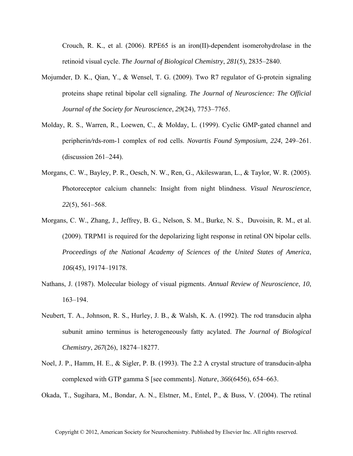Crouch, R. K., et al.  $(2006)$ . RPE65 is an iron(II)-dependent isomerohydrolase in the retinoid visual cycle. *The Journal of Biological Chemistry*, *281*(5), 2835–2840.

- Mojumder, D. K., Qian, Y., & Wensel, T. G. (2009). Two R7 regulator of G-protein signaling proteins shape retinal bipolar cell signaling. *The Journal of Neuroscience: The Official Journal of the Society for Neuroscience*, *29*(24), 7753–7765.
- Molday, R. S., Warren, R., Loewen, C., & Molday, L. (1999). Cyclic GMP-gated channel and peripherin*/*rds-rom-1 complex of rod cells. *Novartis Found Symposium*, *224*, 249–261. (discussion 261–244).
- Morgans, C. W., Bayley, P. R., Oesch, N. W., Ren, G., Akileswaran, L., & Taylor, W. R. (2005). Photoreceptor calcium channels: Insight from night blindness. *Visual Neuroscience*, *22*(5), 561–568.
- Morgans, C. W., Zhang, J., Jeffrey, B. G., Nelson, S. M., Burke, N. S., Duvoisin, R. M., et al. (2009). TRPM1 is required for the depolarizing light response in retinal ON bipolar cells. *Proceedings of the National Academy of Sciences of the United States of America*, *106*(45), 19174–19178.
- Nathans, J. (1987). Molecular biology of visual pigments. *Annual Review of Neuroscience*, *10*, 163–194.
- Neubert, T. A., Johnson, R. S., Hurley, J. B., & Walsh, K. A. (1992). The rod transducin alpha subunit amino terminus is heterogeneously fatty acylated. *The Journal of Biological Chemistry*, *267*(26), 18274–18277.
- Noel, J. P., Hamm, H. E., & Sigler, P. B. (1993). The 2.2 A crystal structure of transducin-alpha complexed with GTP gamma S [see comments]. *Nature*, *366*(6456), 654–663.

Okada, T., Sugihara, M., Bondar, A. N., Elstner, M., Entel, P., & Buss, V. (2004). The retinal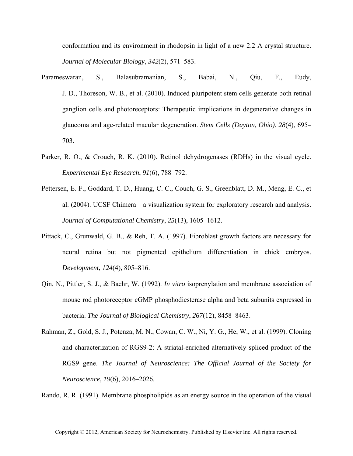conformation and its environment in rhodopsin in light of a new 2.2 A crystal structure. *Journal of Molecular Biology*, *342*(2), 571–583.

- Parameswaran, S., Balasubramanian, S., Babai, N., Qiu, F., Eudy, J. D., Thoreson, W. B., et al. (2010). Induced pluripotent stem cells generate both retinal ganglion cells and photoreceptors: Therapeutic implications in degenerative changes in glaucoma and age-related macular degeneration. *Stem Cells (Dayton, Ohio)*, *28*(4), 695– 703.
- Parker, R. O., & Crouch, R. K. (2010). Retinol dehydrogenases (RDHs) in the visual cycle. *Experimental Eye Research*, *91*(6), 788–792.
- Pettersen, E. F., Goddard, T. D., Huang, C. C., Couch, G. S., Greenblatt, D. M., Meng, E. C., et al. (2004). UCSF Chimera—a visualization system for exploratory research and analysis. *Journal of Computational Chemistry*, *25*(13), 1605–1612.
- Pittack, C., Grunwald, G. B., & Reh, T. A. (1997). Fibroblast growth factors are necessary for neural retina but not pigmented epithelium differentiation in chick embryos. *Development*, *124*(4), 805–816.
- Qin, N., Pittler, S. J., & Baehr, W. (1992). *In vitro* isoprenylation and membrane association of mouse rod photoreceptor cGMP phosphodiesterase alpha and beta subunits expressed in bacteria. *The Journal of Biological Chemistry*, *267*(12), 8458–8463.
- Rahman, Z., Gold, S. J., Potenza, M. N., Cowan, C. W., Ni, Y. G., He, W., et al. (1999). Cloning and characterization of RGS9-2: A striatal-enriched alternatively spliced product of the RGS9 gene. *The Journal of Neuroscience: The Official Journal of the Society for Neuroscience*, *19*(6), 2016–2026.

Rando, R. R. (1991). Membrane phospholipids as an energy source in the operation of the visual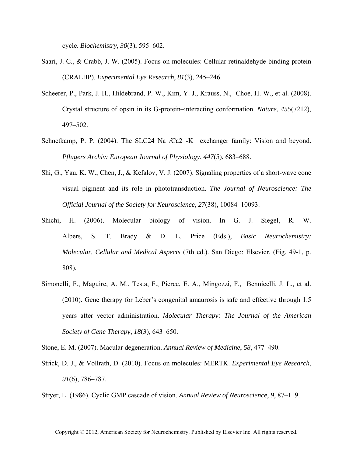cycle. *Biochemistry*, *30*(3), 595–602.

- Saari, J. C., & Crabb, J. W. (2005). Focus on molecules: Cellular retinaldehyde-binding protein (CRALBP). *Experimental Eye Research*, *81*(3), 245–246.
- Scheerer, P., Park, J. H., Hildebrand, P. W., Kim, Y. J., Krauss, N., Choe, H. W., et al. (2008). Crystal structure of opsin in its G-protein–interacting conformation. *Nature*, *455*(7212), 497–502.
- Schnetkamp, P. P. (2004). The SLC24 Na*/*Ca2-K exchanger family: Vision and beyond. *Pflugers Archiv: European Journal of Physiology*, *447*(5), 683–688.
- Shi, G., Yau, K. W., Chen, J., & Kefalov, V. J. (2007). Signaling properties of a short-wave cone visual pigment and its role in phototransduction. *The Journal of Neuroscience: The Official Journal of the Society for Neuroscience*, *27*(38), 10084–10093.
- Shichi, H. (2006). Molecular biology of vision. In G. J. Siegel, R. W. Albers, S. T. Brady & D. L. Price (Eds.), *Basic Neurochemistry: Molecular, Cellular and Medical Aspects* (7th ed.). San Diego: Elsevier. (Fig. 49-1, p. 808).
- Simonelli, F., Maguire, A. M., Testa, F., Pierce, E. A., Mingozzi, F., Bennicelli, J. L., et al. (2010). Gene therapy for Leber's congenital amaurosis is safe and effective through 1.5 years after vector administration. *Molecular Therapy: The Journal of the American Society of Gene Therapy*, *18*(3), 643–650.

Stone, E. M. (2007). Macular degeneration. *Annual Review of Medicine*, *58*, 477–490.

Strick, D. J., & Vollrath, D. (2010). Focus on molecules: MERTK. *Experimental Eye Research*, *91*(6), 786–787.

Stryer, L. (1986). Cyclic GMP cascade of vision. *Annual Review of Neuroscience*, *9*, 87–119.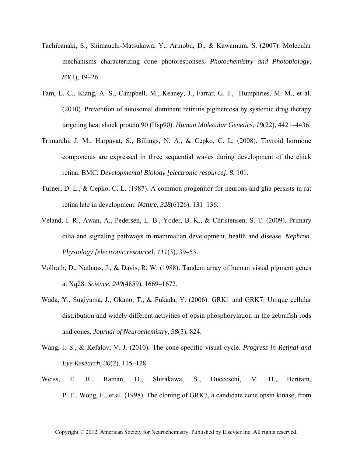- Tachibanaki, S., Shimauchi-Matsukawa, Y., Arinobu, D., & Kawamura, S. (2007). Molecular mechanisms characterizing cone photoresponses. *Photochemistry and Photobiology*, *83*(1), 19–26.
- Tam, L. C., Kiang, A. S., Campbell, M., Keaney, J., Farrar, G. J., Humphries, M. M., et al. (2010). Prevention of autosomal dominant retinitis pigmentosa by systemic drug therapy targeting heat shock protein 90 (Hsp90). *Human Molecular Genetics*, *19*(22), 4421–4436.
- Trimarchi, J. M., Harpavat, S., Billings, N. A., & Cepko, C. L. (2008). Thyroid hormone components are expressed in three sequential waves during development of the chick retina. BMC. *Developmental Biology [electronic resource]*, *8*, 101.
- Turner, D. L., & Cepko, C. L. (1987). A common progenitor for neurons and glia persists in rat retina late in development. *Nature*, *328*(6126), 131–136.
- Veland, I. R., Awan, A., Pedersen, L. B., Yoder, B. K., & Christensen, S. T. (2009). Primary cilia and signaling pathways in mammalian development, health and disease. *Nephron. Physiology [electronic resource]*, *111*(3), 39–53.
- Vollrath, D., Nathans, J., & Davis, R. W. (1988). Tandem array of human visual pigment genes at Xq28. *Science*, *240*(4859), 1669–1672.
- Wada, Y., Sugiyama, J., Okano, T., & Fukada, Y. (2006). GRK1 and GRK7: Unique cellular distribution and widely different activities of opsin phosphorylation in the zebrafish rods and cones. *Journal of Neurochemistry*, *98*(3), 824.
- Wang, J. S., & Kefalov, V. J. (2010). The cone-specific visual cycle. *Progress in Retinal and Eye Research*, *30*(2), 115–128.
- Weiss, E. R., Raman, D., Shirakawa, S., Ducceschi, M. H., Bertram, P. T., Wong, F., et al. (1998). The cloning of GRK7, a candidate cone opsin kinase, from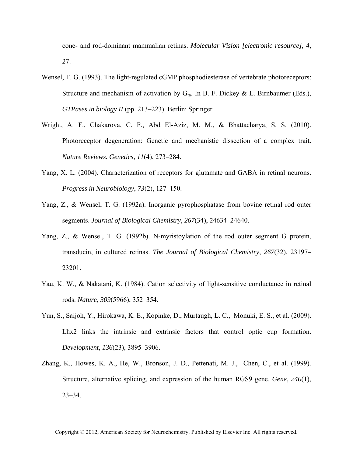cone- and rod-dominant mammalian retinas. *Molecular Vision [electronic resource]*, *4*, 27.

- Wensel, T. G. (1993). The light-regulated cGMP phosphodiesterase of vertebrate photoreceptors: Structure and mechanism of activation by  $G<sub>ta</sub>$ . In B. F. Dickey & L. Birnbaumer (Eds.), *GTPases in biology II* (pp. 213–223). Berlin: Springer.
- Wright, A. F., Chakarova, C. F., Abd El-Aziz, M. M., & Bhattacharya, S. S. (2010). Photoreceptor degeneration: Genetic and mechanistic dissection of a complex trait. *Nature Reviews. Genetics*, *11*(4), 273–284.
- Yang, X. L. (2004). Characterization of receptors for glutamate and GABA in retinal neurons. *Progress in Neurobiology*, *73*(2), 127–150.
- Yang, Z., & Wensel, T. G. (1992a). Inorganic pyrophosphatase from bovine retinal rod outer segments. *Journal of Biological Chemistry*, *267*(34), 24634–24640.
- Yang, Z., & Wensel, T. G. (1992b). N-myristoylation of the rod outer segment G protein, transducin, in cultured retinas. *The Journal of Biological Chemistry*, *267*(32), 23197– 23201.
- Yau, K. W., & Nakatani, K. (1984). Cation selectivity of light-sensitive conductance in retinal rods. *Nature*, *309*(5966), 352–354.
- Yun, S., Saijoh, Y., Hirokawa, K. E., Kopinke, D., Murtaugh, L. C., Monuki, E. S., et al. (2009). Lhx2 links the intrinsic and extrinsic factors that control optic cup formation. *Development*, *136*(23), 3895–3906.
- Zhang, K., Howes, K. A., He, W., Bronson, J. D., Pettenati, M. J., Chen, C., et al. (1999). Structure, alternative splicing, and expression of the human RGS9 gene. *Gene*, *240*(1), 23–34.